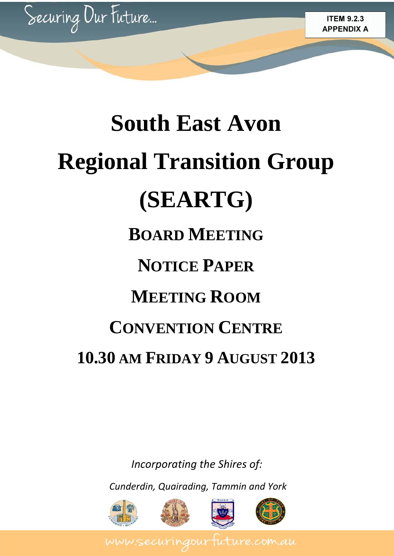



# **South East Avon Regional Transition Group (SEARTG) BOARD MEETING NOTICE PAPER MEETING ROOM CONVENTION CENTRE 10.30 AM FRIDAY 9 AUGUST 2013**

*Incorporating the Shires of:*

*Cunderdin, Quairading, Tammin and York*









www.securingourtuture.com.au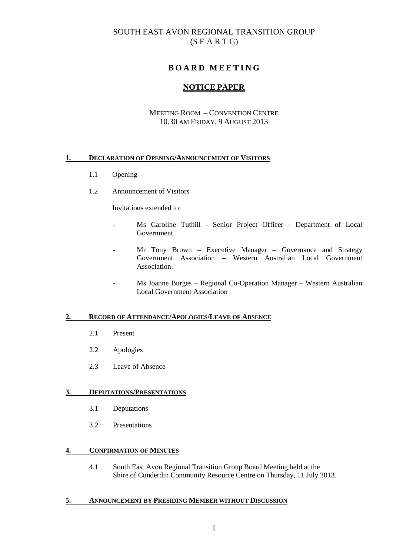# SOUTH EAST AVON REGIONAL TRANSITION GROUP  $(S E A R T G)$

# **B O A R D M E E T I N G**

# **NOTICE PAPER**

# MEETING ROOM – CONVENTION CENTRE 10.30 AM FRIDAY, 9 AUGUST 2013

# **1. DECLARATION OF OPENING/ANNOUNCEMENT OF VISITORS**

- 1.1 Opening
- 1.2 Announcement of Visitors

Invitations extended to:

- Ms Caroline Tuthill Senior Project Officer Department of Local Government.
- Mr Tony Brown Executive Manager Governance and Strategy Government Association – Western Australian Local Government Association.
- Ms Joanne Burges Regional Co-Operation Manager Western Australian Local Government Association

# **2. RECORD OF ATTENDANCE/APOLOGIES/LEAVE OF ABSENCE**

- 2.1 Present
- 2.2 Apologies
- 2.3 Leave of Absence

# **3. DEPUTATIONS/PRESENTATIONS**

- 3.1 Deputations
- 3.2 Presentations

# **4. CONFIRMATION OF MINUTES**

4.1 South East Avon Regional Transition Group Board Meeting held at the Shire of Cunderdin Community Resource Centre on Thursday, 11 July 2013.

#### **5. ANNOUNCEMENT BY PRESIDING MEMBER WITHOUT DISCUSSION**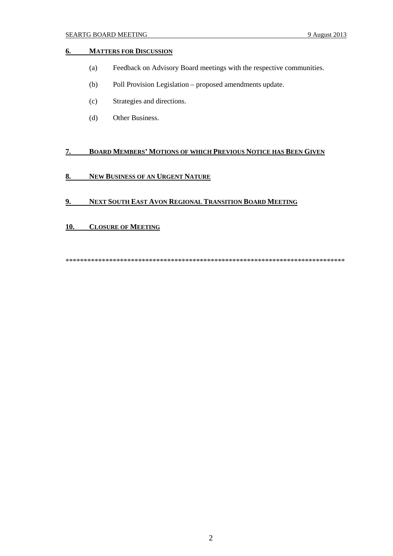# **6. MATTERS FOR DISCUSSION**

- (a) Feedback on Advisory Board meetings with the respective communities.
- (b) Poll Provision Legislation proposed amendments update.
- (c) Strategies and directions.
- (d) Other Business.

# **7. BOARD MEMBERS' MOTIONS OF WHICH PREVIOUS NOTICE HAS BEEN GIVEN**

#### **8. NEW BUSINESS OF AN URGENT NATURE**

# **9. NEXT SOUTH EAST AVON REGIONAL TRANSITION BOARD MEETING**

# **10. CLOSURE OF MEETING**

\*\*\*\*\*\*\*\*\*\*\*\*\*\*\*\*\*\*\*\*\*\*\*\*\*\*\*\*\*\*\*\*\*\*\*\*\*\*\*\*\*\*\*\*\*\*\*\*\*\*\*\*\*\*\*\*\*\*\*\*\*\*\*\*\*\*\*\*\*\*\*\*\*\*\*\*\*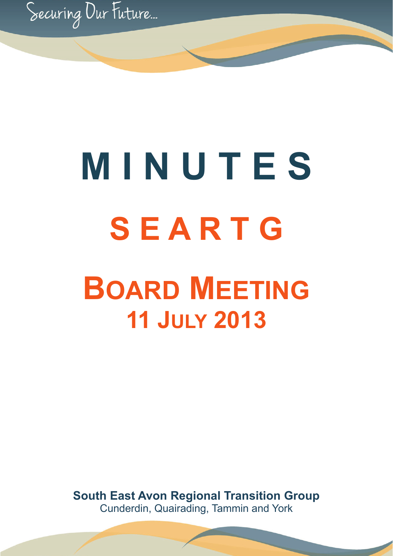

# **M I N U T E S S E A R T G BOARD MEETING 11 JULY 2013**

**South East Avon Regional Transition Group**  Cunderdin, Quairading, Tammin and York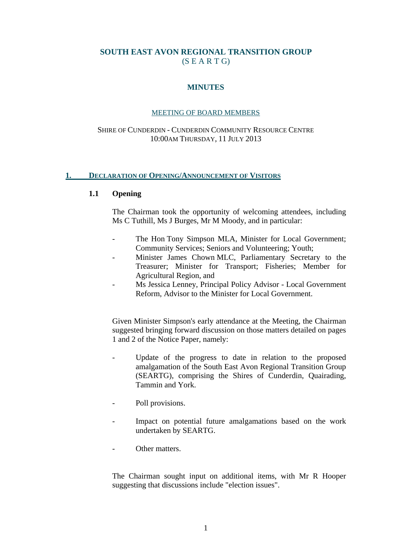# **SOUTH EAST AVON REGIONAL TRANSITION GROUP**   $(S E A R T G)$

# **MINUTES**

# MEETING OF BOARD MEMBERS

# SHIRE OF CUNDERDIN - CUNDERDIN COMMUNITY RESOURCE CENTRE 10:00AM THURSDAY, 11 JULY 2013

# **1. DECLARATION OF OPENING/ANNOUNCEMENT OF VISITORS**

# **1.1 Opening**

 The Chairman took the opportunity of welcoming attendees, including Ms C Tuthill, Ms J Burges, Mr M Moody, and in particular:

- The Hon Tony Simpson MLA, Minister for Local Government; Community Services; Seniors and Volunteering; Youth;
- Minister James Chown MLC, Parliamentary Secretary to the Treasurer; Minister for Transport; Fisheries; Member for Agricultural Region, and
- Ms Jessica Lenney, Principal Policy Advisor Local Government Reform, Advisor to the Minister for Local Government.

 Given Minister Simpson's early attendance at the Meeting, the Chairman suggested bringing forward discussion on those matters detailed on pages 1 and 2 of the Notice Paper, namely:

- Update of the progress to date in relation to the proposed amalgamation of the South East Avon Regional Transition Group (SEARTG), comprising the Shires of Cunderdin, Quairading, Tammin and York.
- Poll provisions.
- Impact on potential future amalgamations based on the work undertaken by SEARTG.
- Other matters.

 The Chairman sought input on additional items, with Mr R Hooper suggesting that discussions include "election issues".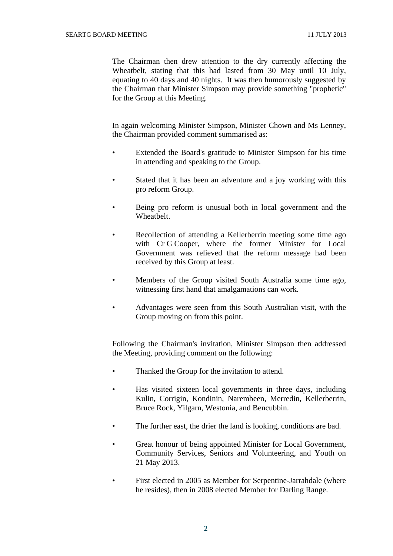The Chairman then drew attention to the dry currently affecting the Wheatbelt, stating that this had lasted from 30 May until 10 July, equating to 40 days and 40 nights. It was then humorously suggested by the Chairman that Minister Simpson may provide something "prophetic" for the Group at this Meeting.

 In again welcoming Minister Simpson, Minister Chown and Ms Lenney, the Chairman provided comment summarised as:

- Extended the Board's gratitude to Minister Simpson for his time in attending and speaking to the Group.
- Stated that it has been an adventure and a joy working with this pro reform Group.
- Being pro reform is unusual both in local government and the **Wheathelt**
- Recollection of attending a Kellerberrin meeting some time ago with Cr G Cooper, where the former Minister for Local Government was relieved that the reform message had been received by this Group at least.
- Members of the Group visited South Australia some time ago, witnessing first hand that amalgamations can work.
- Advantages were seen from this South Australian visit, with the Group moving on from this point.

 Following the Chairman's invitation, Minister Simpson then addressed the Meeting, providing comment on the following:

- Thanked the Group for the invitation to attend.
- Has visited sixteen local governments in three days, including Kulin, Corrigin, Kondinin, Narembeen, Merredin, Kellerberrin, Bruce Rock, Yilgarn, Westonia, and Bencubbin.
- The further east, the drier the land is looking, conditions are bad.
- Great honour of being appointed Minister for Local Government, Community Services, Seniors and Volunteering, and Youth on 21 May 2013.
- First elected in 2005 as Member for Serpentine-Jarrahdale (where he resides), then in 2008 elected Member for Darling Range.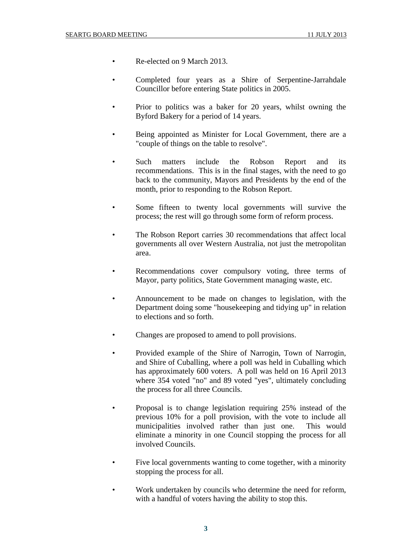- Re-elected on 9 March 2013.
- Completed four years as a Shire of Serpentine-Jarrahdale Councillor before entering State politics in 2005.
- Prior to politics was a baker for 20 years, whilst owning the Byford Bakery for a period of 14 years.
- Being appointed as Minister for Local Government, there are a "couple of things on the table to resolve".
- Such matters include the Robson Report and its recommendations. This is in the final stages, with the need to go back to the community, Mayors and Presidents by the end of the month, prior to responding to the Robson Report.
- Some fifteen to twenty local governments will survive the process; the rest will go through some form of reform process.
- The Robson Report carries 30 recommendations that affect local governments all over Western Australia, not just the metropolitan area.
- Recommendations cover compulsory voting, three terms of Mayor, party politics, State Government managing waste, etc.
- Announcement to be made on changes to legislation, with the Department doing some "housekeeping and tidying up" in relation to elections and so forth.
- Changes are proposed to amend to poll provisions.
- Provided example of the Shire of Narrogin, Town of Narrogin, and Shire of Cuballing, where a poll was held in Cuballing which has approximately 600 voters. A poll was held on 16 April 2013 where 354 voted "no" and 89 voted "yes", ultimately concluding the process for all three Councils.
- Proposal is to change legislation requiring 25% instead of the previous 10% for a poll provision, with the vote to include all municipalities involved rather than just one. This would eliminate a minority in one Council stopping the process for all involved Councils.
- Five local governments wanting to come together, with a minority stopping the process for all.
- Work undertaken by councils who determine the need for reform, with a handful of voters having the ability to stop this.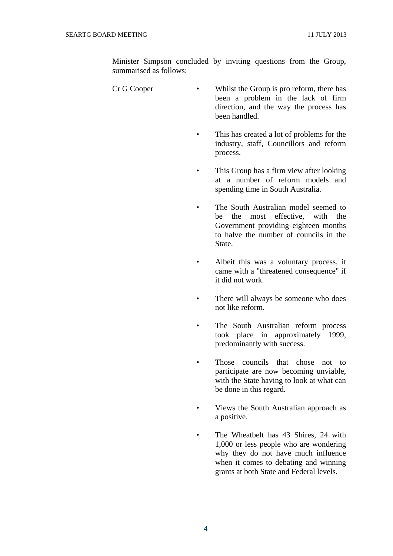Minister Simpson concluded by inviting questions from the Group, summarised as follows:

been handled.

Cr G Cooper • Whilst the Group is pro reform, there has been a problem in the lack of firm direction, and the way the process has

- This has created a lot of problems for the industry, staff, Councillors and reform process.
- This Group has a firm view after looking at a number of reform models and spending time in South Australia.
- The South Australian model seemed to be the most effective, with the Government providing eighteen months to halve the number of councils in the State.
- Albeit this was a voluntary process, it came with a "threatened consequence" if it did not work.
- There will always be someone who does not like reform.
- The South Australian reform process took place in approximately 1999, predominantly with success.
- Those councils that chose not to participate are now becoming unviable, with the State having to look at what can be done in this regard.
- Views the South Australian approach as a positive.
- The Wheatbelt has 43 Shires, 24 with 1,000 or less people who are wondering why they do not have much influence when it comes to debating and winning grants at both State and Federal levels.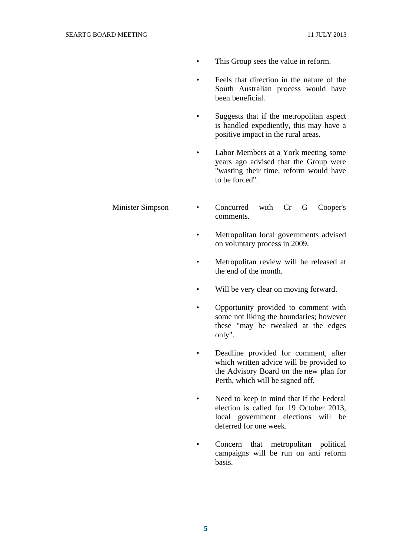- This Group sees the value in reform.
- Feels that direction in the nature of the South Australian process would have been beneficial.
- Suggests that if the metropolitan aspect is handled expediently, this may have a positive impact in the rural areas.
- Labor Members at a York meeting some years ago advised that the Group were "wasting their time, reform would have to be forced".
- Minister Simpson Concurred with Cr G Cooper's comments.
	- Metropolitan local governments advised on voluntary process in 2009.
	- Metropolitan review will be released at the end of the month.
	- Will be very clear on moving forward.
	- Opportunity provided to comment with some not liking the boundaries; however these "may be tweaked at the edges only".
	- Deadline provided for comment, after which written advice will be provided to the Advisory Board on the new plan for Perth, which will be signed off.
	- Need to keep in mind that if the Federal election is called for 19 October 2013, local government elections will be deferred for one week.
	- Concern that metropolitan political campaigns will be run on anti reform basis.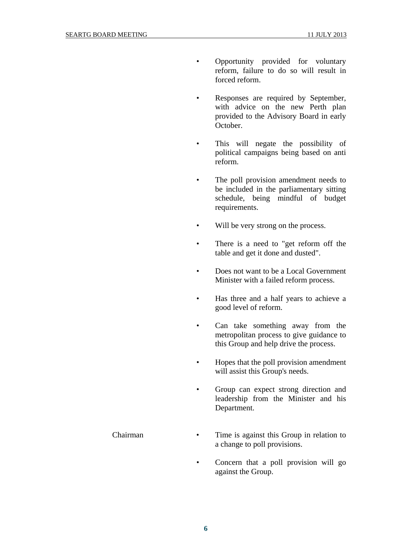- Opportunity provided for voluntary reform, failure to do so will result in forced reform.
- Responses are required by September, with advice on the new Perth plan provided to the Advisory Board in early October.
- This will negate the possibility of political campaigns being based on anti reform.
- The poll provision amendment needs to be included in the parliamentary sitting schedule, being mindful of budget requirements.
- Will be very strong on the process.
- There is a need to "get reform off the table and get it done and dusted".
- Does not want to be a Local Government Minister with a failed reform process.
- Has three and a half years to achieve a good level of reform.
- Can take something away from the metropolitan process to give guidance to this Group and help drive the process.
- Hopes that the poll provision amendment will assist this Group's needs.
- Group can expect strong direction and leadership from the Minister and his Department.
- Chairman Time is against this Group in relation to a change to poll provisions.
	- Concern that a poll provision will go against the Group.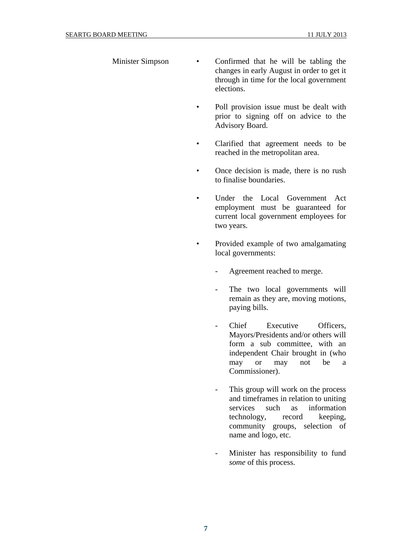Minister Simpson • Confirmed that he will be tabling the changes in early August in order to get it through in time for the local government elections.

- Poll provision issue must be dealt with prior to signing off on advice to the Advisory Board.
- Clarified that agreement needs to be reached in the metropolitan area.
- Once decision is made, there is no rush to finalise boundaries.
- Under the Local Government Act employment must be guaranteed for current local government employees for two years.
- Provided example of two amalgamating local governments:
	- Agreement reached to merge.
	- The two local governments will remain as they are, moving motions, paying bills.
- Chief Executive Officers, Mayors/Presidents and/or others will form a sub committee, with an independent Chair brought in (who may or may not be a Commissioner).
	- This group will work on the process and timeframes in relation to uniting services such as information technology, record keeping, community groups, selection of name and logo, etc.
	- Minister has responsibility to fund *some* of this process.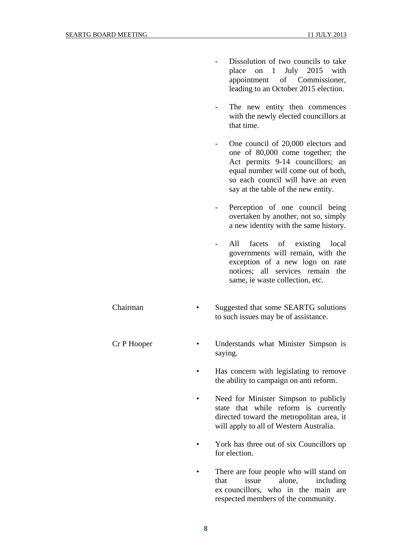- Dissolution of two councils to take place on 1 July 2015 with appointment of Commissioner, leading to an October 2015 election.
- The new entity then commences with the newly elected councillors at that time.
- One council of 20,000 electors and one of 80,000 come together; the Act permits 9-14 councillors; an equal number will come out of both, so each council will have an even say at the table of the new entity.
- Perception of one council being overtaken by another, not so, simply a new identity with the same history.
- All facets of existing local governments will remain, with the exception of a new logo on rate notices; all services remain the same, ie waste collection, etc.
- Chairman Suggested that some SEARTG solutions to such issues may be of assistance.
- Cr P Hooper Understands what Minister Simpson is saying.
	- Has concern with legislating to remove the ability to campaign on anti reform.
	- Need for Minister Simpson to publicly state that while reform is currently directed toward the metropolitan area, it will apply to all of Western Australia.
	- York has three out of six Councillors up for election.
	- There are four people who will stand on that issue alone, including ex councillors, who in the main are respected members of the community.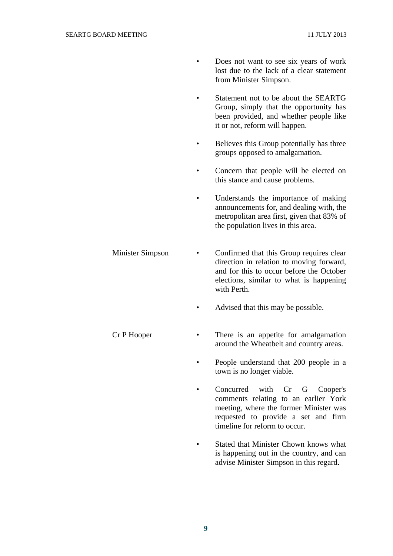- Does not want to see six years of work lost due to the lack of a clear statement from Minister Simpson.
- Statement not to be about the SEARTG Group, simply that the opportunity has been provided, and whether people like it or not, reform will happen.
- Believes this Group potentially has three groups opposed to amalgamation.
- Concern that people will be elected on this stance and cause problems.
- Understands the importance of making announcements for, and dealing with, the metropolitan area first, given that 83% of the population lives in this area.
- Minister Simpson Confirmed that this Group requires clear direction in relation to moving forward, and for this to occur before the October elections, similar to what is happening with Perth.
	- Advised that this may be possible.
- Cr P Hooper There is an appetite for amalgamation around the Wheatbelt and country areas.
	- People understand that 200 people in a town is no longer viable.
	- Concurred with Cr G Cooper's comments relating to an earlier York meeting, where the former Minister was requested to provide a set and firm timeline for reform to occur.
	- Stated that Minister Chown knows what is happening out in the country, and can advise Minister Simpson in this regard.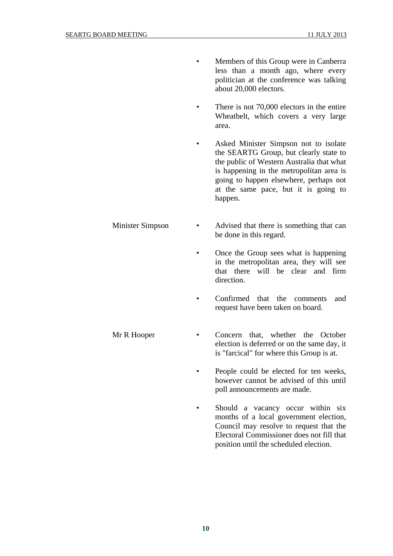- Members of this Group were in Canberra less than a month ago, where every politician at the conference was talking about 20,000 electors.
- There is not 70,000 electors in the entire Wheatbelt, which covers a very large area.
- Asked Minister Simpson not to isolate the SEARTG Group, but clearly state to the public of Western Australia that what is happening in the metropolitan area is going to happen elsewhere, perhaps not at the same pace, but it is going to happen.
- Minister Simpson Advised that there is something that can be done in this regard.
	- Once the Group sees what is happening in the metropolitan area, they will see that there will be clear and firm direction.
	- Confirmed that the comments and request have been taken on board.
- Mr R Hooper Concern that, whether the October election is deferred or on the same day, it is "farcical" for where this Group is at.
	- People could be elected for ten weeks, however cannot be advised of this until poll announcements are made.
	- Should a vacancy occur within six months of a local government election, Council may resolve to request that the Electoral Commissioner does not fill that position until the scheduled election.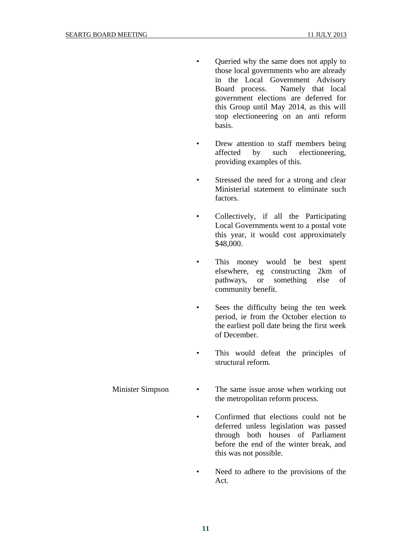- Queried why the same does not apply to those local governments who are already in the Local Government Advisory Board process. Namely that local government elections are deferred for this Group until May 2014, as this will stop electioneering on an anti reform basis.
- Drew attention to staff members being affected by such electioneering, providing examples of this.
- Stressed the need for a strong and clear Ministerial statement to eliminate such factors.
- Collectively, if all the Participating Local Governments went to a postal vote this year, it would cost approximately \$48,000.
- This money would be best spent elsewhere, eg constructing 2km of pathways, or something else of community benefit.
- Sees the difficulty being the ten week period, ie from the October election to the earliest poll date being the first week of December.
- This would defeat the principles of structural reform.
- Minister Simpson The same issue arose when working out the metropolitan reform process.
	- Confirmed that elections could not be deferred unless legislation was passed through both houses of Parliament before the end of the winter break, and this was not possible.
	- Need to adhere to the provisions of the Act.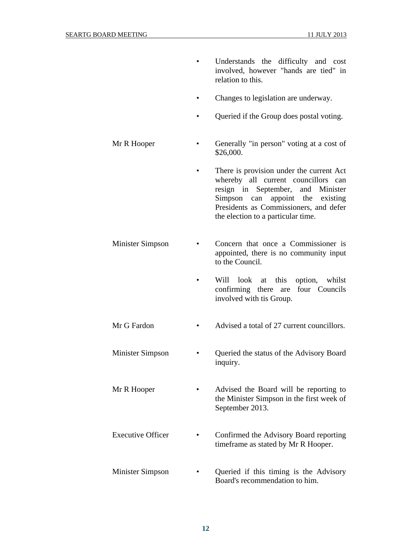• Understands the difficulty and cost

involved, however "hands are tied" in relation to this. • Changes to legislation are underway. • Queried if the Group does postal voting. Mr R Hooper • Generally "in person" voting at a cost of \$26,000. • There is provision under the current Act whereby all current councillors can resign in September, and Minister Simpson can appoint the existing Presidents as Commissioners, and defer the election to a particular time. Minister Simpson • Concern that once a Commissioner is appointed, there is no community input to the Council. • Will look at this option, whilst confirming there are four Councils involved with tis Group. Mr G Fardon • Advised a total of 27 current councillors. Minister Simpson • Queried the status of the Advisory Board inquiry. Mr R Hooper • Advised the Board will be reporting to the Minister Simpson in the first week of September 2013. Executive Officer • Confirmed the Advisory Board reporting timeframe as stated by Mr R Hooper. Minister Simpson • Queried if this timing is the Advisory Board's recommendation to him.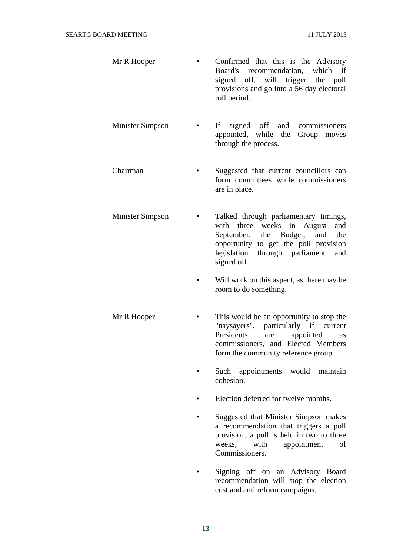- Mr R Hooper Confirmed that this is the Advisory Board's recommendation, which if signed off, will trigger the poll provisions and go into a 56 day electoral roll period.
- Minister Simpson If signed off and commissioners appointed, while the Group moves through the process.
- Chairman Suggested that current councillors can form committees while commissioners are in place.
- Minister Simpson Talked through parliamentary timings, with three weeks in August and September, the Budget, and the opportunity to get the poll provision legislation through parliament and signed off.
	- Will work on this aspect, as there may be room to do something.
- Mr R Hooper This would be an opportunity to stop the "naysayers", particularly if current Presidents are appointed as commissioners, and Elected Members form the community reference group.
	- Such appointments would maintain cohesion.
	- Election deferred for twelve months.
	- Suggested that Minister Simpson makes a recommendation that triggers a poll provision, a poll is held in two to three weeks, with appointment of Commissioners.
	- Signing off on an Advisory Board recommendation will stop the election cost and anti reform campaigns.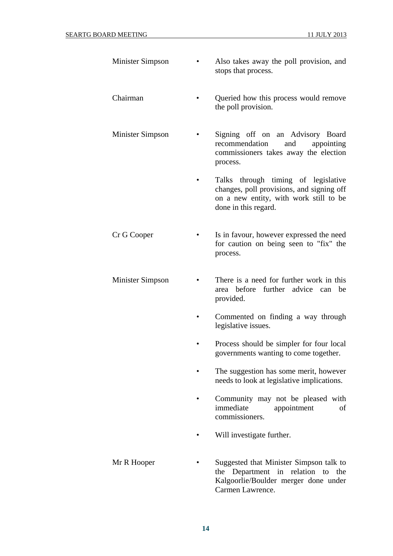| Minister Simpson        | Also takes away the poll provision, and<br>stops that process.                                                                                          |
|-------------------------|---------------------------------------------------------------------------------------------------------------------------------------------------------|
| Chairman                | Queried how this process would remove<br>the poll provision.                                                                                            |
| Minister Simpson        | Signing off on an Advisory Board<br>recommendation<br>and<br>appointing<br>commissioners takes away the election<br>process.                            |
|                         | Talks through timing of legislative<br>٠<br>changes, poll provisions, and signing off<br>on a new entity, with work still to be<br>done in this regard. |
| Cr G Cooper             | Is in favour, however expressed the need<br>for caution on being seen to "fix" the<br>process.                                                          |
| <b>Minister Simpson</b> | There is a need for further work in this<br>further advice can<br>area before<br>be<br>provided.                                                        |
|                         | Commented on finding a way through<br>٠<br>legislative issues.                                                                                          |
|                         | Process should be simpler for four local<br>governments wanting to come together.                                                                       |
|                         | The suggestion has some merit, however<br>needs to look at legislative implications.                                                                    |
|                         | Community may not be pleased with<br>immediate<br>appointment<br>of<br>commissioners.                                                                   |
|                         | Will investigate further.                                                                                                                               |
| Mr R Hooper             | Suggested that Minister Simpson talk to<br>the Department in relation to the<br>Kalgoorlie/Boulder merger done under                                    |

Carmen Lawrence.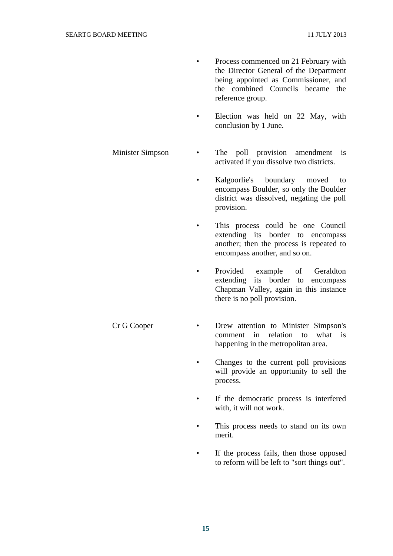- Process commenced on 21 February with the Director General of the Department being appointed as Commissioner, and the combined Councils became the reference group.
- Election was held on 22 May, with conclusion by 1 June.
- Minister Simpson The poll provision amendment is activated if you dissolve two districts.
	- Kalgoorlie's boundary moved to encompass Boulder, so only the Boulder district was dissolved, negating the poll provision.
	- This process could be one Council extending its border to encompass another; then the process is repeated to encompass another, and so on.
- Provided example of Geraldton extending its border to encompass Chapman Valley, again in this instance there is no poll provision.
	- Cr G Cooper Drew attention to Minister Simpson's comment in relation to what is happening in the metropolitan area.
		- Changes to the current poll provisions will provide an opportunity to sell the process.
		- If the democratic process is interfered with, it will not work.
		- This process needs to stand on its own merit.
		- If the process fails, then those opposed to reform will be left to "sort things out".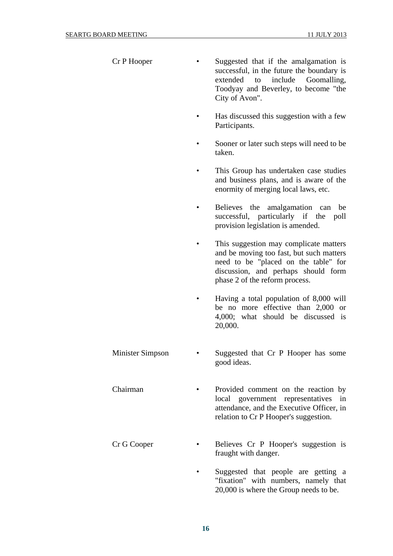- Cr P Hooper Suggested that if the amalgamation is successful, in the future the boundary is extended to include Goomalling, Toodyay and Beverley, to become "the City of Avon".
	- Has discussed this suggestion with a few Participants.
	- Sooner or later such steps will need to be taken.
	- This Group has undertaken case studies and business plans, and is aware of the enormity of merging local laws, etc.
	- Believes the amalgamation can be successful, particularly if the poll provision legislation is amended.
	- This suggestion may complicate matters and be moving too fast, but such matters need to be "placed on the table" for discussion, and perhaps should form phase 2 of the reform process.
	- Having a total population of 8,000 will be no more effective than 2,000 or 4,000; what should be discussed is 20,000.
- Minister Simpson Suggested that Cr P Hooper has some good ideas.
- Chairman Provided comment on the reaction by local government representatives in attendance, and the Executive Officer, in relation to Cr P Hooper's suggestion.
- Cr G Cooper Believes Cr P Hooper's suggestion is fraught with danger.
	- Suggested that people are getting a "fixation" with numbers, namely that 20,000 is where the Group needs to be.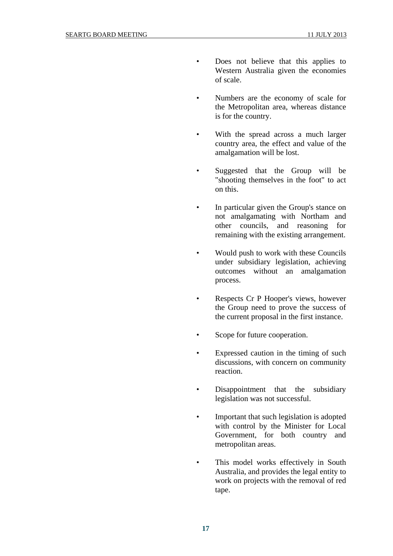- Does not believe that this applies to Western Australia given the economies of scale.
- Numbers are the economy of scale for the Metropolitan area, whereas distance is for the country.
- With the spread across a much larger country area, the effect and value of the amalgamation will be lost.
- Suggested that the Group will be "shooting themselves in the foot" to act on this.
- In particular given the Group's stance on not amalgamating with Northam and other councils, and reasoning for remaining with the existing arrangement.
- Would push to work with these Councils under subsidiary legislation, achieving outcomes without an amalgamation process.
- Respects Cr P Hooper's views, however the Group need to prove the success of the current proposal in the first instance.
- Scope for future cooperation.
- Expressed caution in the timing of such discussions, with concern on community reaction.
- Disappointment that the subsidiary legislation was not successful.
- Important that such legislation is adopted with control by the Minister for Local Government, for both country and metropolitan areas.
- This model works effectively in South Australia, and provides the legal entity to work on projects with the removal of red tape.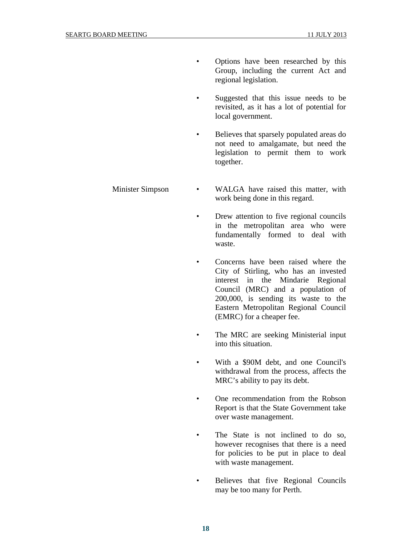- Options have been researched by this Group, including the current Act and regional legislation.
- Suggested that this issue needs to be revisited, as it has a lot of potential for local government.
- Believes that sparsely populated areas do not need to amalgamate, but need the legislation to permit them to work together.

# Minister Simpson • WALGA have raised this matter, with work being done in this regard.

- Drew attention to five regional councils in the metropolitan area who were fundamentally formed to deal with waste.
- Concerns have been raised where the City of Stirling, who has an invested interest in the Mindarie Regional Council (MRC) and a population of 200,000, is sending its waste to the Eastern Metropolitan Regional Council (EMRC) for a cheaper fee.
- The MRC are seeking Ministerial input into this situation.
- With a \$90M debt, and one Council's withdrawal from the process, affects the MRC's ability to pay its debt.
- One recommendation from the Robson Report is that the State Government take over waste management.
- The State is not inclined to do so, however recognises that there is a need for policies to be put in place to deal with waste management.
- Believes that five Regional Councils may be too many for Perth.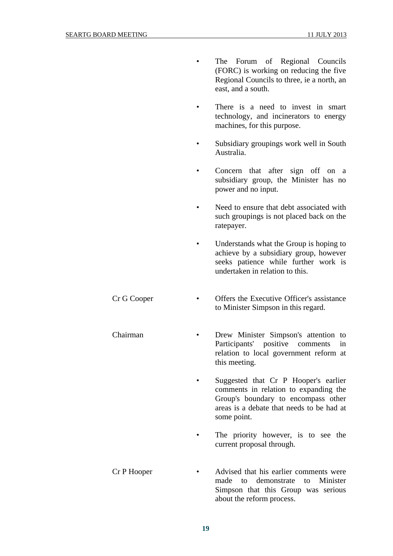- The Forum of Regional Councils (FORC) is working on reducing the five Regional Councils to three, ie a north, an east, and a south.
- There is a need to invest in smart technology, and incinerators to energy machines, for this purpose.
- Subsidiary groupings work well in South Australia.
- Concern that after sign off on a subsidiary group, the Minister has no power and no input.
- Need to ensure that debt associated with such groupings is not placed back on the ratepayer.
- Understands what the Group is hoping to achieve by a subsidiary group, however seeks patience while further work is undertaken in relation to this.
- Cr G Cooper Offers the Executive Officer's assistance to Minister Simpson in this regard.
- Chairman Drew Minister Simpson's attention to Participants' positive comments in relation to local government reform at this meeting.
	- Suggested that Cr P Hooper's earlier comments in relation to expanding the Group's boundary to encompass other areas is a debate that needs to be had at some point.
	- The priority however, is to see the current proposal through.
- Cr P Hooper Advised that his earlier comments were made to demonstrate to Minister Simpson that this Group was serious about the reform process.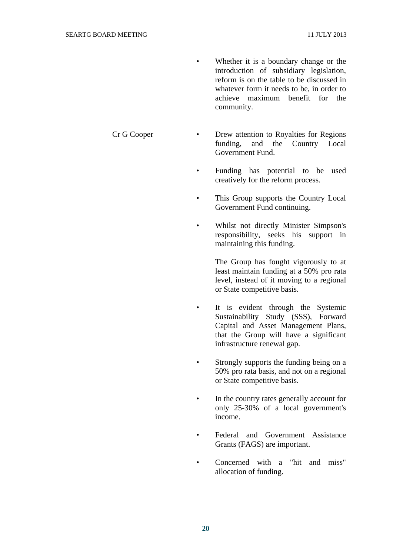- Whether it is a boundary change or the introduction of subsidiary legislation, reform is on the table to be discussed in whatever form it needs to be, in order to achieve maximum benefit for the community.
- Cr G Cooper Drew attention to Royalties for Regions funding, and the Country Local Government Fund.
	- Funding has potential to be used creatively for the reform process.
	- This Group supports the Country Local Government Fund continuing.
	- Whilst not directly Minister Simpson's responsibility, seeks his support in maintaining this funding.

 The Group has fought vigorously to at least maintain funding at a 50% pro rata level, instead of it moving to a regional or State competitive basis.

- It is evident through the Systemic Sustainability Study (SSS), Forward Capital and Asset Management Plans, that the Group will have a significant infrastructure renewal gap.
- Strongly supports the funding being on a 50% pro rata basis, and not on a regional or State competitive basis.
- In the country rates generally account for only 25-30% of a local government's income.
- Federal and Government Assistance Grants (FAGS) are important.
- Concerned with a "hit and miss" allocation of funding.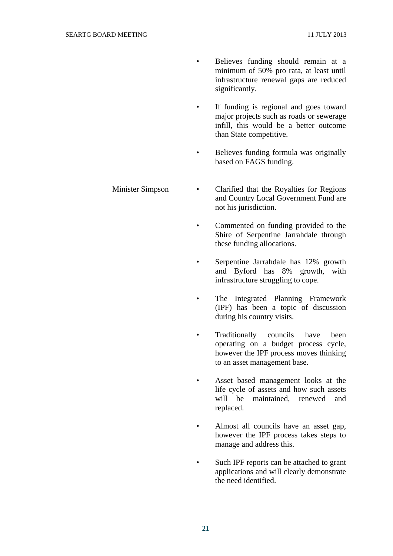- Believes funding should remain at a minimum of 50% pro rata, at least until infrastructure renewal gaps are reduced significantly.
- If funding is regional and goes toward major projects such as roads or sewerage infill, this would be a better outcome than State competitive.
- Believes funding formula was originally based on FAGS funding.
- Minister Simpson Clarified that the Royalties for Regions and Country Local Government Fund are not his jurisdiction.
	- Commented on funding provided to the Shire of Serpentine Jarrahdale through these funding allocations.
	- Serpentine Jarrahdale has 12% growth and Byford has 8% growth, with infrastructure struggling to cope.
	- The Integrated Planning Framework (IPF) has been a topic of discussion during his country visits.
	- Traditionally councils have been operating on a budget process cycle, however the IPF process moves thinking to an asset management base.
	- Asset based management looks at the life cycle of assets and how such assets will be maintained, renewed and replaced.
	- Almost all councils have an asset gap, however the IPF process takes steps to manage and address this.
	- Such IPF reports can be attached to grant applications and will clearly demonstrate the need identified.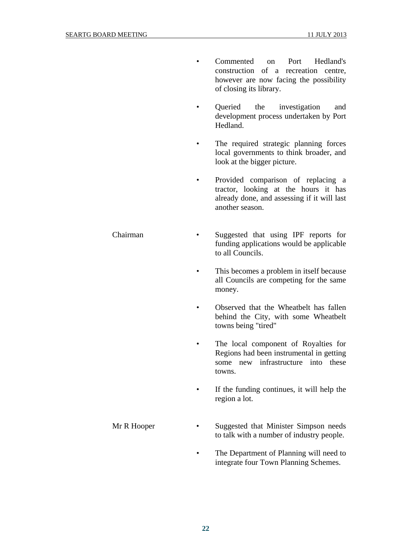- Commented on Port Hedland's construction of a recreation centre, however are now facing the possibility of closing its library.
- Queried the investigation and development process undertaken by Port Hedland.
- The required strategic planning forces local governments to think broader, and look at the bigger picture.
- Provided comparison of replacing a tractor, looking at the hours it has already done, and assessing if it will last another season.
- Chairman Suggested that using IPF reports for funding applications would be applicable to all Councils.
	- This becomes a problem in itself because all Councils are competing for the same money.
	- Observed that the Wheatbelt has fallen behind the City, with some Wheatbelt towns being "tired"
	- The local component of Royalties for Regions had been instrumental in getting some new infrastructure into these towns.
	- If the funding continues, it will help the region a lot.
- Mr R Hooper Suggested that Minister Simpson needs to talk with a number of industry people.
	- The Department of Planning will need to integrate four Town Planning Schemes.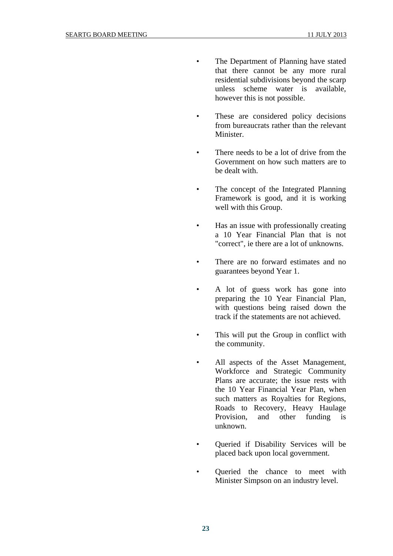- The Department of Planning have stated that there cannot be any more rural residential subdivisions beyond the scarp unless scheme water is available, however this is not possible.
- These are considered policy decisions from bureaucrats rather than the relevant Minister.
- There needs to be a lot of drive from the Government on how such matters are to be dealt with.
- The concept of the Integrated Planning Framework is good, and it is working well with this Group.
- Has an issue with professionally creating a 10 Year Financial Plan that is not "correct", ie there are a lot of unknowns.
- There are no forward estimates and no guarantees beyond Year 1.
- A lot of guess work has gone into preparing the 10 Year Financial Plan, with questions being raised down the track if the statements are not achieved.
- This will put the Group in conflict with the community.
- All aspects of the Asset Management, Workforce and Strategic Community Plans are accurate; the issue rests with the 10 Year Financial Year Plan, when such matters as Royalties for Regions, Roads to Recovery, Heavy Haulage<br>Provision, and other funding is Provision, and other funding is unknown.
- Queried if Disability Services will be placed back upon local government.
- Queried the chance to meet with Minister Simpson on an industry level.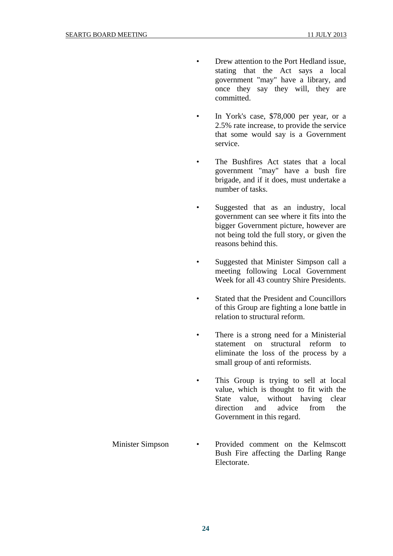- Drew attention to the Port Hedland issue, stating that the Act says a local government "may" have a library, and once they say they will, they are committed.
- In York's case, \$78,000 per year, or a 2.5% rate increase, to provide the service that some would say is a Government service.
- The Bushfires Act states that a local government "may" have a bush fire brigade, and if it does, must undertake a number of tasks.
- Suggested that as an industry, local government can see where it fits into the bigger Government picture, however are not being told the full story, or given the reasons behind this.
- Suggested that Minister Simpson call a meeting following Local Government Week for all 43 country Shire Presidents.
- Stated that the President and Councillors of this Group are fighting a lone battle in relation to structural reform.
- There is a strong need for a Ministerial statement on structural reform to eliminate the loss of the process by a small group of anti reformists.
- This Group is trying to sell at local value, which is thought to fit with the State value, without having clear direction and advice from the Government in this regard.
- Minister Simpson Provided comment on the Kelmscott Bush Fire affecting the Darling Range Electorate.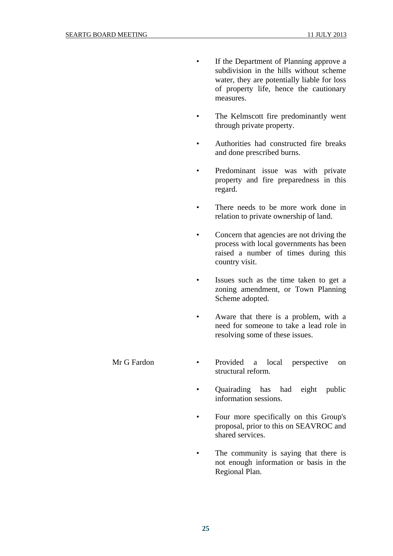- If the Department of Planning approve a subdivision in the hills without scheme water, they are potentially liable for loss of property life, hence the cautionary measures.
- The Kelmscott fire predominantly went through private property.
- Authorities had constructed fire breaks and done prescribed burns.
- Predominant issue was with private property and fire preparedness in this regard.
- There needs to be more work done in relation to private ownership of land.
- Concern that agencies are not driving the process with local governments has been raised a number of times during this country visit.
- Issues such as the time taken to get a zoning amendment, or Town Planning Scheme adopted.
- Aware that there is a problem, with a need for someone to take a lead role in resolving some of these issues.
- Mr G Fardon Provided a local perspective on structural reform.
	- Quairading has had eight public information sessions.
	- Four more specifically on this Group's proposal, prior to this on SEAVROC and shared services.
	- The community is saying that there is not enough information or basis in the Regional Plan.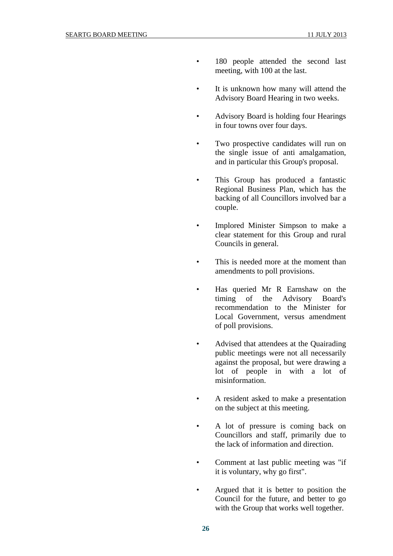- 180 people attended the second last meeting, with 100 at the last.
- It is unknown how many will attend the Advisory Board Hearing in two weeks.
- Advisory Board is holding four Hearings in four towns over four days.
- Two prospective candidates will run on the single issue of anti amalgamation, and in particular this Group's proposal.
- This Group has produced a fantastic Regional Business Plan, which has the backing of all Councillors involved bar a couple.
- Implored Minister Simpson to make a clear statement for this Group and rural Councils in general.
- This is needed more at the moment than amendments to poll provisions.
- Has queried Mr R Earnshaw on the timing of the Advisory Board's recommendation to the Minister for Local Government, versus amendment of poll provisions.
- Advised that attendees at the Quairading public meetings were not all necessarily against the proposal, but were drawing a lot of people in with a lot of misinformation.
- A resident asked to make a presentation on the subject at this meeting.
- A lot of pressure is coming back on Councillors and staff, primarily due to the lack of information and direction.
- Comment at last public meeting was "if it is voluntary, why go first".
- Argued that it is better to position the Council for the future, and better to go with the Group that works well together.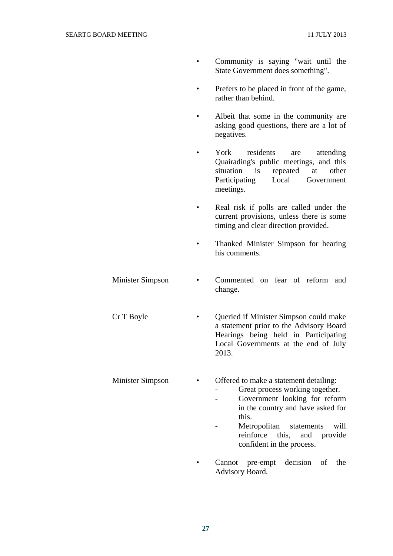- Community is saying "wait until the State Government does something".
- Prefers to be placed in front of the game, rather than behind.
- Albeit that some in the community are asking good questions, there are a lot of negatives.
- York residents are attending Quairading's public meetings, and this situation is repeated at other Participating Local Government meetings.
	- Real risk if polls are called under the current provisions, unless there is some timing and clear direction provided.
	- Thanked Minister Simpson for hearing his comments.
	- Minister Simpson Commented on fear of reform and change.
	- Cr T Boyle Queried if Minister Simpson could make a statement prior to the Advisory Board Hearings being held in Participating Local Governments at the end of July 2013.
	- Minister Simpson Offered to make a statement detailing:
		- Great process working together.
		- Government looking for reform in the country and have asked for this.
		- Metropolitan statements will reinforce this, and provide confident in the process.
		- Cannot pre-empt decision of the Advisory Board.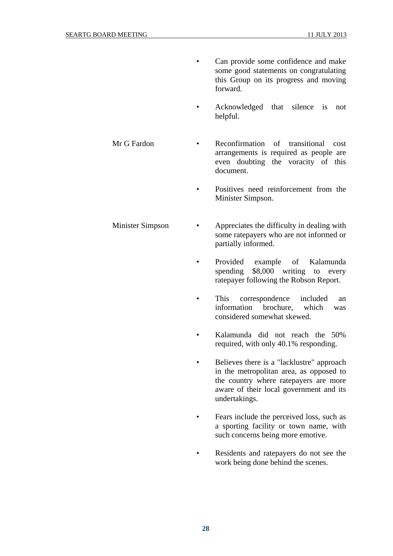- Can provide some confidence and make some good statements on congratulating this Group on its progress and moving forward.
	- Acknowledged that silence is not helpful.
- Mr G Fardon Reconfirmation of transitional cost arrangements is required as people are even doubting the voracity of this document.
	- Positives need reinforcement from the Minister Simpson.
- Minister Simpson Appreciates the difficulty in dealing with some ratepayers who are not informed or partially informed.
	- Provided example of Kalamunda spending \$8,000 writing to every ratepayer following the Robson Report.
	- This correspondence included an information brochure, which was considered somewhat skewed.
	- Kalamunda did not reach the 50% required, with only 40.1% responding.
	- Believes there is a "lacklustre" approach in the metropolitan area, as opposed to the country where ratepayers are more aware of their local government and its undertakings.
	- Fears include the perceived loss, such as a sporting facility or town name, with such concerns being more emotive.
	- Residents and ratepayers do not see the work being done behind the scenes.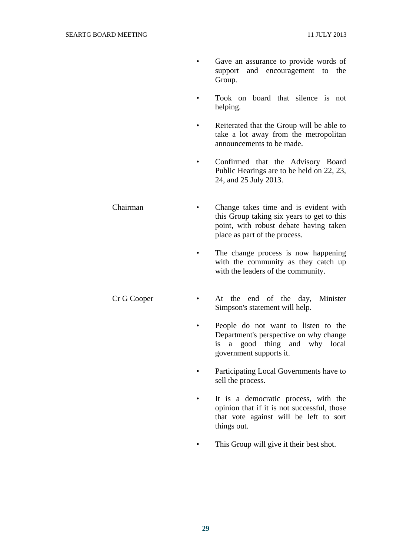- Gave an assurance to provide words of support and encouragement to the Group.
- Took on board that silence is not helping.
- Reiterated that the Group will be able to take a lot away from the metropolitan announcements to be made.
- Confirmed that the Advisory Board Public Hearings are to be held on 22, 23, 24, and 25 July 2013.
- Chairman Change takes time and is evident with this Group taking six years to get to this point, with robust debate having taken place as part of the process.
	- The change process is now happening with the community as they catch up with the leaders of the community.
	- Cr G Cooper At the end of the day, Minister Simpson's statement will help.
		- People do not want to listen to the Department's perspective on why change is a good thing and why local government supports it.
		- Participating Local Governments have to sell the process.
		- It is a democratic process, with the opinion that if it is not successful, those that vote against will be left to sort things out.
		- This Group will give it their best shot.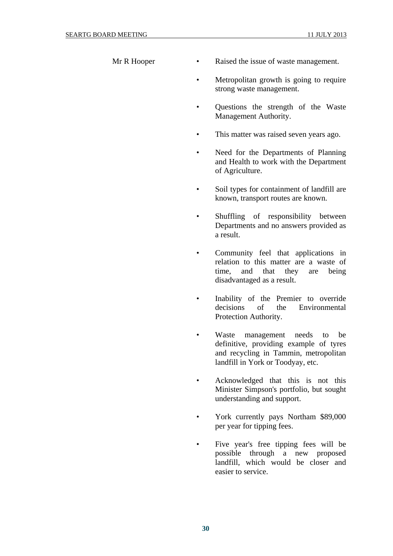- Mr R Hooper Raised the issue of waste management.
	- Metropolitan growth is going to require strong waste management.
	- Questions the strength of the Waste Management Authority.
	- This matter was raised seven years ago.
	- Need for the Departments of Planning and Health to work with the Department of Agriculture.
	- Soil types for containment of landfill are known, transport routes are known.
	- Shuffling of responsibility between Departments and no answers provided as a result.
	- Community feel that applications in relation to this matter are a waste of time, and that they are being disadvantaged as a result.
	- Inability of the Premier to override decisions of the Environmental Protection Authority.
	- Waste management needs to be definitive, providing example of tyres and recycling in Tammin, metropolitan landfill in York or Toodyay, etc.
	- Acknowledged that this is not this Minister Simpson's portfolio, but sought understanding and support.
	- York currently pays Northam \$89,000 per year for tipping fees.
	- Five year's free tipping fees will be possible through a new proposed landfill, which would be closer and easier to service.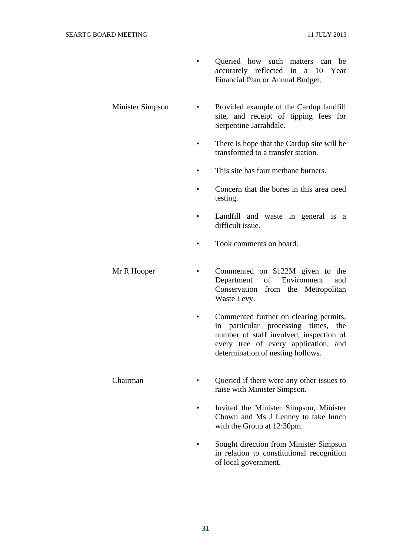- Queried how such matters can be accurately reflected in a 10 Year Financial Plan or Annual Budget.
- Minister Simpson Provided example of the Cardup landfill site, and receipt of tipping fees for Serpentine Jarrahdale.
	- There is hope that the Cardup site will be transformed to a transfer station.
	- This site has four methane burners.
	- Concern that the bores in this area need testing.
	- Landfill and waste in general is a difficult issue.
	- Took comments on board.
- Mr R Hooper Commented on \$122M given to the Department of Environment and Conservation from the Metropolitan Waste Levy.
	- Commented further on clearing permits, in particular processing times, the number of staff involved, inspection of every tree of every application, and determination of nesting hollows.
- Chairman Queried if there were any other issues to raise with Minister Simpson.
	- Invited the Minister Simpson, Minister Chown and Ms J Lenney to take lunch with the Group at 12:30pm.
	- Sought direction from Minister Simpson in relation to constitutional recognition of local government.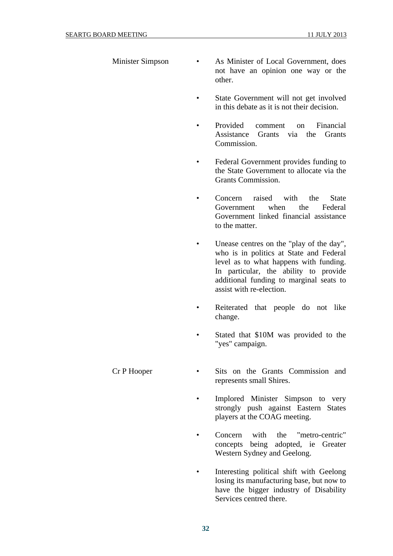Minister Simpson • As Minister of Local Government, does not have an opinion one way or the other.

- State Government will not get involved in this debate as it is not their decision.
- Provided comment on Financial Assistance Grants via the Grants Commission.
- Federal Government provides funding to the State Government to allocate via the Grants Commission.
- Concern raised with the State Government when the Federal Government linked financial assistance to the matter.
- Unease centres on the "play of the day", who is in politics at State and Federal level as to what happens with funding. In particular, the ability to provide additional funding to marginal seats to assist with re-election.
	- Reiterated that people do not like change.
	- Stated that \$10M was provided to the "yes" campaign.
	- Cr P Hooper Sits on the Grants Commission and represents small Shires.
		- Implored Minister Simpson to very strongly push against Eastern States players at the COAG meeting.
		- Concern with the "metro-centric" concepts being adopted, ie Greater Western Sydney and Geelong.
		- Interesting political shift with Geelong losing its manufacturing base, but now to have the bigger industry of Disability Services centred there.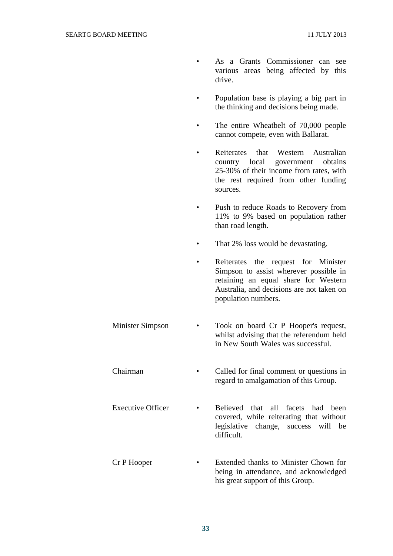- As a Grants Commissioner can see various areas being affected by this drive.
- Population base is playing a big part in the thinking and decisions being made.
- The entire Wheatbelt of 70,000 people cannot compete, even with Ballarat.
- Reiterates that Western Australian country local government obtains 25-30% of their income from rates, with the rest required from other funding sources.
- Push to reduce Roads to Recovery from 11% to 9% based on population rather than road length.
- That 2% loss would be devastating.
- Reiterates the request for Minister Simpson to assist wherever possible in retaining an equal share for Western Australia, and decisions are not taken on population numbers.
- Minister Simpson Took on board Cr P Hooper's request, whilst advising that the referendum held in New South Wales was successful.
- Chairman Called for final comment or questions in regard to amalgamation of this Group.
- Executive Officer Believed that all facets had been covered, while reiterating that without legislative change, success will be difficult.
- Cr P Hooper Extended thanks to Minister Chown for being in attendance, and acknowledged his great support of this Group.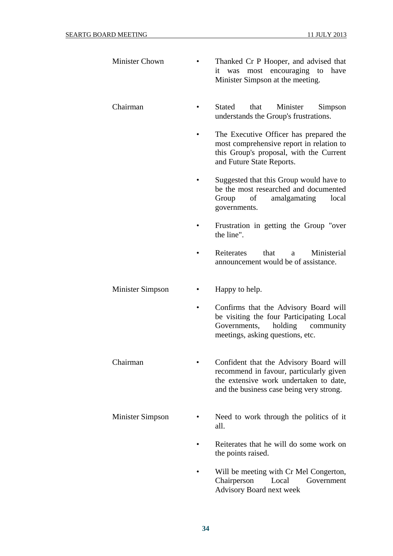| Minister Chown   | Thanked Cr P Hooper, and advised that<br>most encouraging to<br>it was<br>have<br>Minister Simpson at the meeting.                                                      |
|------------------|-------------------------------------------------------------------------------------------------------------------------------------------------------------------------|
| Chairman         | <b>Stated</b><br>that<br>Minister<br>Simpson<br>understands the Group's frustrations.                                                                                   |
|                  | The Executive Officer has prepared the<br>most comprehensive report in relation to<br>this Group's proposal, with the Current<br>and Future State Reports.              |
|                  | Suggested that this Group would have to<br>be the most researched and documented<br>of<br>Group<br>amalgamating<br>local<br>governments.                                |
|                  | Frustration in getting the Group "over<br>the line".                                                                                                                    |
|                  | Reiterates<br>Ministerial<br>that<br>a<br>announcement would be of assistance.                                                                                          |
| Minister Simpson | Happy to help.                                                                                                                                                          |
|                  | Confirms that the Advisory Board will<br>be visiting the four Participating Local<br>holding<br>Governments,<br>community<br>meetings, asking questions, etc.           |
| Chairman         | Confident that the Advisory Board will<br>recommend in favour, particularly given<br>the extensive work undertaken to date,<br>and the business case being very strong. |
| Minister Simpson | Need to work through the politics of it<br>all.                                                                                                                         |
|                  | Reiterates that he will do some work on<br>the points raised.                                                                                                           |
|                  | Will be meeting with Cr Mel Congerton,<br>Chairperson<br>Local<br>Government<br>Advisory Board next week                                                                |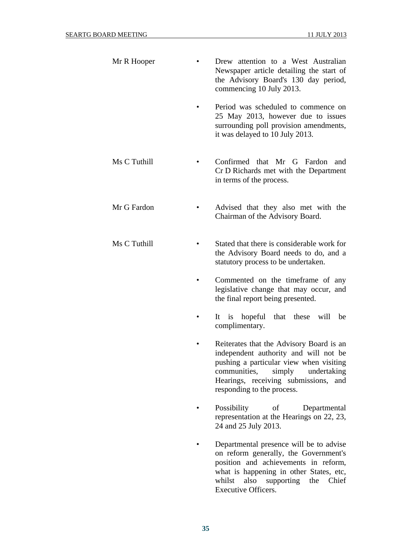| Mr R Hooper       | Drew attention to a West Australian<br>Newspaper article detailing the start of<br>the Advisory Board's 130 day period,<br>commencing 10 July 2013.    |
|-------------------|--------------------------------------------------------------------------------------------------------------------------------------------------------|
| $\bullet$         | Period was scheduled to commence on<br>25 May 2013, however due to issues<br>surrounding poll provision amendments,<br>it was delayed to 10 July 2013. |
| Ms C Tuthill<br>٠ | Confirmed that Mr G Fardon and<br>Cr D Richards met with the Department<br>in terms of the process.                                                    |

- Mr G Fardon Advised that they also met with the Chairman of the Advisory Board.
- Ms C Tuthill Stated that there is considerable work for the Advisory Board needs to do, and a statutory process to be undertaken.
	- Commented on the timeframe of any legislative change that may occur, and the final report being presented.
	- It is hopeful that these will be complimentary.
	- Reiterates that the Advisory Board is an independent authority and will not be pushing a particular view when visiting communities, simply undertaking Hearings, receiving submissions, and responding to the process.
	- Possibility of Departmental representation at the Hearings on 22, 23, 24 and 25 July 2013.
	- Departmental presence will be to advise on reform generally, the Government's position and achievements in reform, what is happening in other States, etc, whilst also supporting the Chief Executive Officers.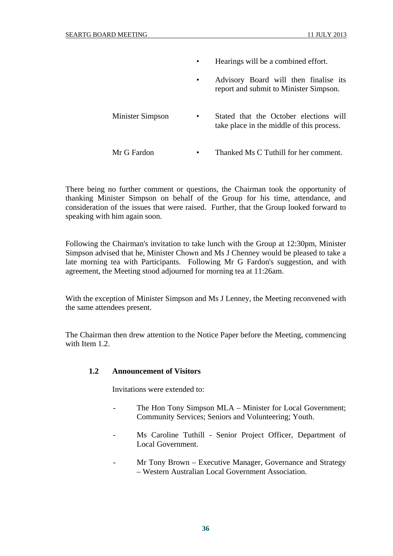• Hearings will be a combined effort. • Advisory Board will then finalise its report and submit to Minister Simpson. Minister Simpson • Stated that the October elections will take place in the middle of this process. Mr G Fardon • Thanked Ms C Tuthill for her comment.

There being no further comment or questions, the Chairman took the opportunity of thanking Minister Simpson on behalf of the Group for his time, attendance, and consideration of the issues that were raised. Further, that the Group looked forward to speaking with him again soon.

Following the Chairman's invitation to take lunch with the Group at 12:30pm, Minister Simpson advised that he, Minister Chown and Ms J Chenney would be pleased to take a late morning tea with Participants. Following Mr G Fardon's suggestion, and with agreement, the Meeting stood adjourned for morning tea at 11:26am.

With the exception of Minister Simpson and Ms J Lenney, the Meeting reconvened with the same attendees present.

The Chairman then drew attention to the Notice Paper before the Meeting, commencing with Item 1.2.

# **1.2 Announcement of Visitors**

Invitations were extended to:

- The Hon Tony Simpson MLA Minister for Local Government; Community Services; Seniors and Volunteering; Youth.
- Ms Caroline Tuthill Senior Project Officer, Department of Local Government.
- Mr Tony Brown Executive Manager, Governance and Strategy – Western Australian Local Government Association.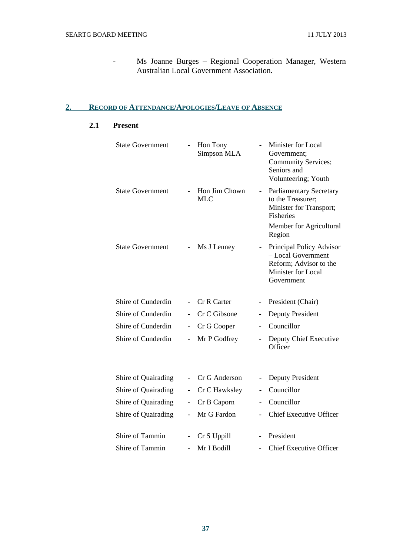- Ms Joanne Burges – Regional Cooperation Manager, Western Australian Local Government Association.

# **2. RECORD OF ATTENDANCE/APOLOGIES/LEAVE OF ABSENCE**

| <b>State Government</b> | $\overline{\phantom{0}}$     | Hon Tony<br>Simpson MLA     |                          | Minister for Local<br>Government;<br><b>Community Services;</b><br>Seniors and<br>Volunteering; Youth                            |
|-------------------------|------------------------------|-----------------------------|--------------------------|----------------------------------------------------------------------------------------------------------------------------------|
| <b>State Government</b> | $\sim$                       | Hon Jim Chown<br><b>MLC</b> | $\overline{\phantom{a}}$ | Parliamentary Secretary<br>to the Treasurer;<br>Minister for Transport;<br><b>Fisheries</b><br>Member for Agricultural<br>Region |
| <b>State Government</b> | $\qquad \qquad \blacksquare$ | Ms J Lenney                 | $\sim$                   | Principal Policy Advisor<br>- Local Government<br>Reform; Advisor to the<br>Minister for Local<br>Government                     |
| Shire of Cunderdin      | $\overline{\phantom{0}}$     | Cr R Carter                 | $\overline{\phantom{0}}$ | President (Chair)                                                                                                                |
| Shire of Cunderdin      | $\overline{\phantom{0}}$     | Cr C Gibsone                | $\overline{\phantom{0}}$ | Deputy President                                                                                                                 |
| Shire of Cunderdin      | $\overline{a}$               | Cr G Cooper                 | $\overline{\phantom{0}}$ | Councillor                                                                                                                       |
| Shire of Cunderdin      |                              | Mr P Godfrey                |                          | Deputy Chief Executive<br>Officer                                                                                                |
|                         |                              |                             |                          |                                                                                                                                  |
| Shire of Quairading     | $\frac{1}{2}$                | Cr G Anderson               | $\overline{\phantom{0}}$ | <b>Deputy President</b>                                                                                                          |
| Shire of Quairading     | $\overline{\phantom{0}}$     | Cr C Hawksley               | $\frac{1}{2}$            | Councillor                                                                                                                       |
| Shire of Quairading     |                              | Cr B Caporn                 |                          | Councillor                                                                                                                       |
| Shire of Quairading     |                              | Mr G Fardon                 |                          | <b>Chief Executive Officer</b>                                                                                                   |
| Shire of Tammin         |                              | Cr S Uppill                 |                          | President                                                                                                                        |
| Shire of Tammin         |                              | Mr I Bodill                 |                          | <b>Chief Executive Officer</b>                                                                                                   |

# **2.1 Present**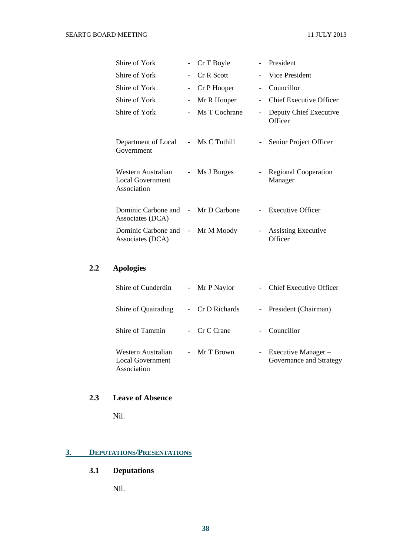|                          | Cr T Boyle    |                                                                                            | President                              |
|--------------------------|---------------|--------------------------------------------------------------------------------------------|----------------------------------------|
|                          | Cr R Scott    |                                                                                            | Vice President                         |
| $\overline{\phantom{a}}$ | Cr P Hooper   |                                                                                            | Councillor                             |
| $\overline{\phantom{a}}$ | Mr R Hooper   |                                                                                            | <b>Chief Executive Officer</b>         |
|                          | Ms T Cochrane |                                                                                            | Deputy Chief Executive<br>Officer      |
|                          | Ms C Tuthill  |                                                                                            | Senior Project Officer                 |
|                          | Ms J Burges   |                                                                                            | <b>Regional Cooperation</b><br>Manager |
|                          |               |                                                                                            | <b>Executive Officer</b>               |
|                          |               | $\overline{\phantom{a}}$                                                                   | <b>Assisting Executive</b><br>Officer  |
|                          |               | $\sim$<br>$\sim$<br>Dominic Carbone and - Mr D Carbone<br>Dominic Carbone and - Mr M Moody |                                        |

# **2.2 Apologies**

| Shire of Cunderdin                                    | - Mr P Naylor   | Chief Executive Officer<br>$\overline{a}$          |
|-------------------------------------------------------|-----------------|----------------------------------------------------|
| Shire of Quairading                                   | - Cr D Richards | - President (Chairman)                             |
| Shire of Tammin                                       | - Cr C Crane    | - Councillor                                       |
| Western Australian<br>Local Government<br>Association | - Mr T Brown    | - Executive Manager $-$<br>Governance and Strategy |

# **2.3 Leave of Absence**

Nil.

# **3. DEPUTATIONS/PRESENTATIONS**

# **3.1 Deputations**

Nil.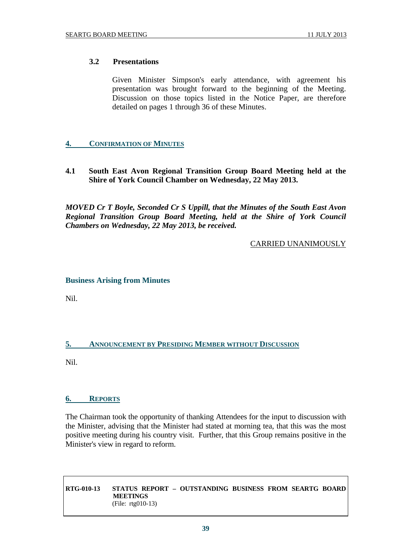# **3.2 Presentations**

 Given Minister Simpson's early attendance, with agreement his presentation was brought forward to the beginning of the Meeting. Discussion on those topics listed in the Notice Paper, are therefore detailed on pages 1 through 36 of these Minutes.

# **4. CONFIRMATION OF MINUTES**

# **4.1 South East Avon Regional Transition Group Board Meeting held at the Shire of York Council Chamber on Wednesday, 22 May 2013.**

*MOVED Cr T Boyle, Seconded Cr S Uppill, that the Minutes of the South East Avon Regional Transition Group Board Meeting, held at the Shire of York Council Chambers on Wednesday, 22 May 2013, be received.* 

# CARRIED UNANIMOUSLY

# **Business Arising from Minutes**

Nil.

# **5. ANNOUNCEMENT BY PRESIDING MEMBER WITHOUT DISCUSSION**

Nil.

# **6. REPORTS**

The Chairman took the opportunity of thanking Attendees for the input to discussion with the Minister, advising that the Minister had stated at morning tea, that this was the most positive meeting during his country visit. Further, that this Group remains positive in the Minister's view in regard to reform.

#### **RTG-010-13 STATUS REPORT – OUTSTANDING BUSINESS FROM SEARTG BOARD MEETINGS**  (File: rtg010-13)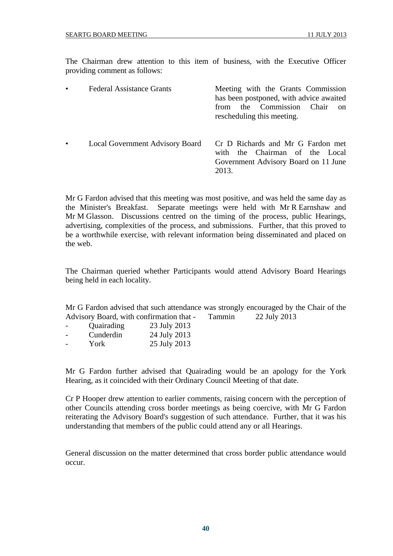The Chairman drew attention to this item of business, with the Executive Officer providing comment as follows:

| $\bullet$ | <b>Federal Assistance Grants</b>       | Meeting with the Grants Commission<br>has been postponed, with advice awaited<br>the Commission Chair<br>from<br>on<br>rescheduling this meeting. |
|-----------|----------------------------------------|---------------------------------------------------------------------------------------------------------------------------------------------------|
| $\bullet$ | <b>Local Government Advisory Board</b> | Cr D Richards and Mr G Fardon met<br>with the Chairman of the Local<br>Government Advisory Board on 11 June<br>2013.                              |

Mr G Fardon advised that this meeting was most positive, and was held the same day as the Minister's Breakfast. Separate meetings were held with Mr R Earnshaw and Mr M Glasson. Discussions centred on the timing of the process, public Hearings, advertising, complexities of the process, and submissions. Further, that this proved to be a worthwhile exercise, with relevant information being disseminated and placed on the web.

The Chairman queried whether Participants would attend Advisory Board Hearings being held in each locality.

Mr G Fardon advised that such attendance was strongly encouraged by the Chair of the Advisory Board, with confirmation that - Tammin 22 July 2013

|  | Quairading | 23 July 2013 |
|--|------------|--------------|
|--|------------|--------------|

| Cunderdin | 24 July 2013 |
|-----------|--------------|
|           |              |

| York | 25 July 2013 |
|------|--------------|
|------|--------------|

Mr G Fardon further advised that Quairading would be an apology for the York Hearing, as it coincided with their Ordinary Council Meeting of that date.

Cr P Hooper drew attention to earlier comments, raising concern with the perception of other Councils attending cross border meetings as being coercive, with Mr G Fardon reiterating the Advisory Board's suggestion of such attendance. Further, that it was his understanding that members of the public could attend any or all Hearings.

General discussion on the matter determined that cross border public attendance would occur.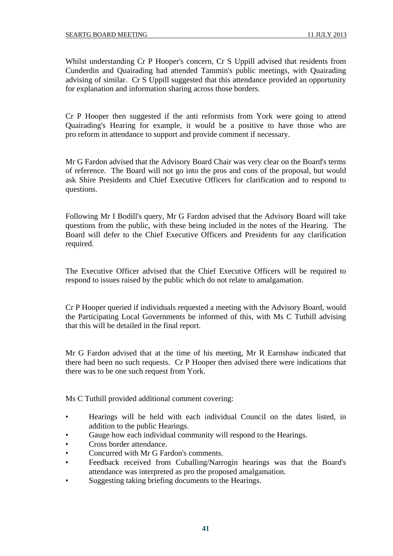Whilst understanding Cr P Hooper's concern, Cr S Uppill advised that residents from Cunderdin and Quairading had attended Tammin's public meetings, with Quairading advising of similar. Cr S Uppill suggested that this attendance provided an opportunity for explanation and information sharing across those borders.

Cr P Hooper then suggested if the anti reformists from York were going to attend Quairading's Hearing for example, it would be a positive to have those who are pro reform in attendance to support and provide comment if necessary.

Mr G Fardon advised that the Advisory Board Chair was very clear on the Board's terms of reference. The Board will not go into the pros and cons of the proposal, but would ask Shire Presidents and Chief Executive Officers for clarification and to respond to questions.

Following Mr I Bodill's query, Mr G Fardon advised that the Advisory Board will take questions from the public, with these being included in the notes of the Hearing. The Board will defer to the Chief Executive Officers and Presidents for any clarification required.

The Executive Officer advised that the Chief Executive Officers will be required to respond to issues raised by the public which do not relate to amalgamation.

Cr P Hooper queried if individuals requested a meeting with the Advisory Board, would the Participating Local Governments be informed of this, with Ms C Tuthill advising that this will be detailed in the final report.

Mr G Fardon advised that at the time of his meeting, Mr R Earnshaw indicated that there had been no such requests. Cr P Hooper then advised there were indications that there was to be one such request from York.

Ms C Tuthill provided additional comment covering:

- Hearings will be held with each individual Council on the dates listed, in addition to the public Hearings.
- Gauge how each individual community will respond to the Hearings.
- Cross border attendance.
- Concurred with Mr G Fardon's comments.
- Feedback received from Cuballing/Narrogin hearings was that the Board's attendance was interpreted as pro the proposed amalgamation.
- Suggesting taking briefing documents to the Hearings.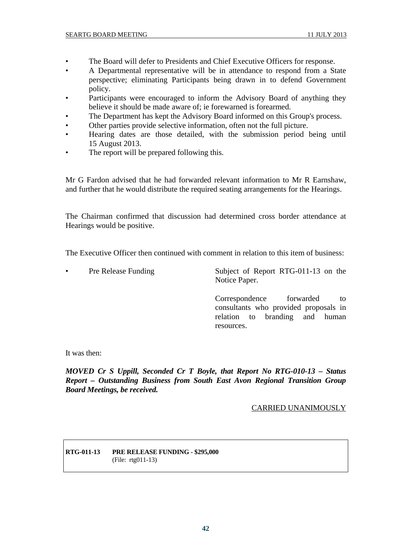- The Board will defer to Presidents and Chief Executive Officers for response.
- A Departmental representative will be in attendance to respond from a State perspective; eliminating Participants being drawn in to defend Government policy.
- Participants were encouraged to inform the Advisory Board of anything they believe it should be made aware of; ie forewarned is forearmed.
- The Department has kept the Advisory Board informed on this Group's process.
- Other parties provide selective information, often not the full picture.
- Hearing dates are those detailed, with the submission period being until 15 August 2013.
- The report will be prepared following this.

Mr G Fardon advised that he had forwarded relevant information to Mr R Earnshaw, and further that he would distribute the required seating arrangements for the Hearings.

The Chairman confirmed that discussion had determined cross border attendance at Hearings would be positive.

The Executive Officer then continued with comment in relation to this item of business:

• Pre Release Funding Subject of Report RTG-011-13 on the Notice Paper.

> Correspondence forwarded to consultants who provided proposals in relation to branding and human relation to branding and human resources.

It was then:

*MOVED Cr S Uppill, Seconded Cr T Boyle, that Report No RTG-010-13 – Status Report – Outstanding Business from South East Avon Regional Transition Group Board Meetings, be received.* 

CARRIED UNANIMOUSLY

**RTG-011-13 PRE RELEASE FUNDING - \$295,000**  (File: rtg011-13)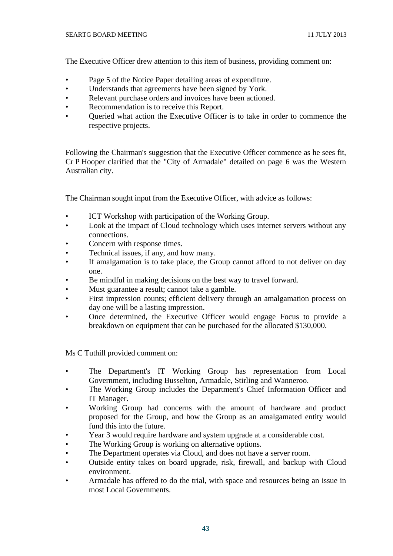The Executive Officer drew attention to this item of business, providing comment on:

- Page 5 of the Notice Paper detailing areas of expenditure.
- Understands that agreements have been signed by York.
- Relevant purchase orders and invoices have been actioned.
- Recommendation is to receive this Report.
- Queried what action the Executive Officer is to take in order to commence the respective projects.

Following the Chairman's suggestion that the Executive Officer commence as he sees fit, Cr P Hooper clarified that the "City of Armadale" detailed on page 6 was the Western Australian city.

The Chairman sought input from the Executive Officer, with advice as follows:

- ICT Workshop with participation of the Working Group.
- Look at the impact of Cloud technology which uses internet servers without any connections.
- Concern with response times.
- Technical issues, if any, and how many.
- If amalgamation is to take place, the Group cannot afford to not deliver on day one.
- Be mindful in making decisions on the best way to travel forward.
- Must guarantee a result; cannot take a gamble.
- First impression counts; efficient delivery through an amalgamation process on day one will be a lasting impression.
- Once determined, the Executive Officer would engage Focus to provide a breakdown on equipment that can be purchased for the allocated \$130,000.

Ms C Tuthill provided comment on:

- The Department's IT Working Group has representation from Local Government, including Busselton, Armadale, Stirling and Wanneroo.
- The Working Group includes the Department's Chief Information Officer and IT Manager.
- Working Group had concerns with the amount of hardware and product proposed for the Group, and how the Group as an amalgamated entity would fund this into the future.
- Year 3 would require hardware and system upgrade at a considerable cost.
- The Working Group is working on alternative options.
- The Department operates via Cloud, and does not have a server room.
- Outside entity takes on board upgrade, risk, firewall, and backup with Cloud environment.
- Armadale has offered to do the trial, with space and resources being an issue in most Local Governments.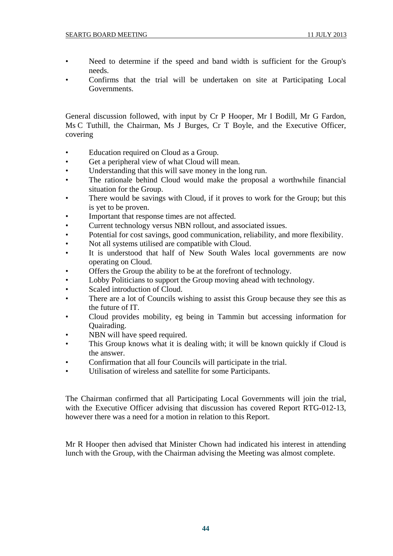- Need to determine if the speed and band width is sufficient for the Group's needs.
- Confirms that the trial will be undertaken on site at Participating Local Governments.

General discussion followed, with input by Cr P Hooper, Mr I Bodill, Mr G Fardon, Ms C Tuthill, the Chairman, Ms J Burges, Cr T Boyle, and the Executive Officer, covering

- Education required on Cloud as a Group.
- Get a peripheral view of what Cloud will mean.
- Understanding that this will save money in the long run.
- The rationale behind Cloud would make the proposal a worthwhile financial situation for the Group.
- There would be savings with Cloud, if it proves to work for the Group; but this is yet to be proven.
- Important that response times are not affected.
- Current technology versus NBN rollout, and associated issues.
- Potential for cost savings, good communication, reliability, and more flexibility.
- Not all systems utilised are compatible with Cloud.
- It is understood that half of New South Wales local governments are now operating on Cloud.
- Offers the Group the ability to be at the forefront of technology.
- Lobby Politicians to support the Group moving ahead with technology.
- Scaled introduction of Cloud.
- There are a lot of Councils wishing to assist this Group because they see this as the future of IT.
- Cloud provides mobility, eg being in Tammin but accessing information for Quairading.
- NBN will have speed required.
- This Group knows what it is dealing with; it will be known quickly if Cloud is the answer.
- Confirmation that all four Councils will participate in the trial.
- Utilisation of wireless and satellite for some Participants.

The Chairman confirmed that all Participating Local Governments will join the trial, with the Executive Officer advising that discussion has covered Report RTG-012-13, however there was a need for a motion in relation to this Report.

Mr R Hooper then advised that Minister Chown had indicated his interest in attending lunch with the Group, with the Chairman advising the Meeting was almost complete.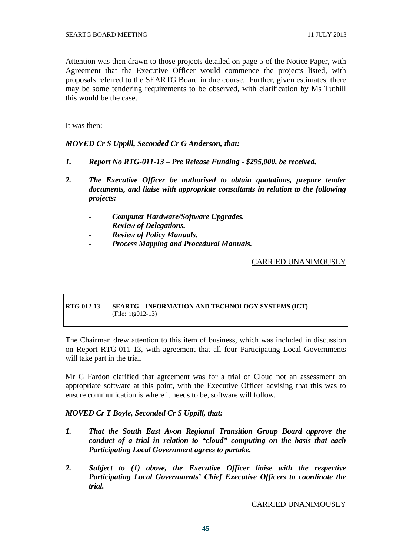Attention was then drawn to those projects detailed on page 5 of the Notice Paper, with Agreement that the Executive Officer would commence the projects listed, with proposals referred to the SEARTG Board in due course. Further, given estimates, there may be some tendering requirements to be observed, with clarification by Ms Tuthill this would be the case.

It was then:

*MOVED Cr S Uppill, Seconded Cr G Anderson, that:* 

- *1. Report No RTG-011-13 Pre Release Funding \$295,000, be received.*
- 2. The Executive Officer be authorised to obtain quotations, prepare tender *documents, and liaise with appropriate consultants in relation to the following projects:* 
	- *Computer Hardware/Software Upgrades.*
	- $Review of Delegations.$
	- *Review of Policy Manuals.*
	- *Process Mapping and Procedural Manuals.*

CARRIED UNANIMOUSLY

# **RTG-012-13 SEARTG – INFORMATION AND TECHNOLOGY SYSTEMS (ICT)**  (File: rtg012-13)

The Chairman drew attention to this item of business, which was included in discussion on Report RTG-011-13, with agreement that all four Participating Local Governments will take part in the trial.

Mr G Fardon clarified that agreement was for a trial of Cloud not an assessment on appropriate software at this point, with the Executive Officer advising that this was to ensure communication is where it needs to be, software will follow.

# *MOVED Cr T Boyle, Seconded Cr S Uppill, that:*

- *1. That the South East Avon Regional Transition Group Board approve the conduct of a trial in relation to "cloud" computing on the basis that each Participating Local Government agrees to partake.*
- *2. Subject to (1) above, the Executive Officer liaise with the respective Participating Local Governments' Chief Executive Officers to coordinate the trial.*

CARRIED UNANIMOUSLY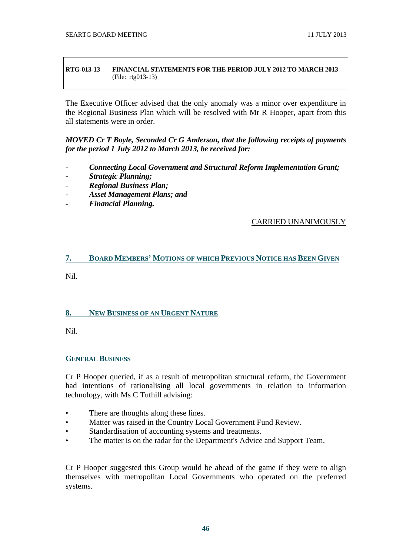#### **RTG-013-13 FINANCIAL STATEMENTS FOR THE PERIOD JULY 2012 TO MARCH 2013**  (File: rtg013-13)

The Executive Officer advised that the only anomaly was a minor over expenditure in the Regional Business Plan which will be resolved with Mr R Hooper, apart from this all statements were in order.

*MOVED Cr T Boyle, Seconded Cr G Anderson, that the following receipts of payments for the period 1 July 2012 to March 2013, be received for:* 

- *Connecting Local Government and Structural Reform Implementation Grant;*
- *Strategic Planning;*
- *Regional Business Plan;*
- *Asset Management Plans; and*
- *Financial Planning.*

# CARRIED UNANIMOUSLY

# **7. BOARD MEMBERS' MOTIONS OF WHICH PREVIOUS NOTICE HAS BEEN GIVEN**

Nil.

# **8. NEW BUSINESS OF AN URGENT NATURE**

Nil.

# **GENERAL BUSINESS**

Cr P Hooper queried, if as a result of metropolitan structural reform, the Government had intentions of rationalising all local governments in relation to information technology, with Ms C Tuthill advising:

- There are thoughts along these lines.
- Matter was raised in the Country Local Government Fund Review.
- Standardisation of accounting systems and treatments.
- The matter is on the radar for the Department's Advice and Support Team.

Cr P Hooper suggested this Group would be ahead of the game if they were to align themselves with metropolitan Local Governments who operated on the preferred systems.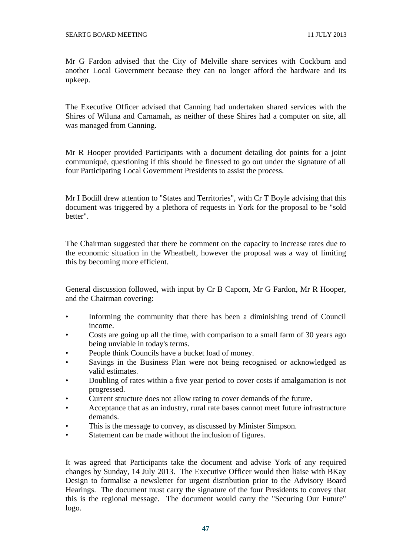Mr G Fardon advised that the City of Melville share services with Cockburn and another Local Government because they can no longer afford the hardware and its upkeep.

The Executive Officer advised that Canning had undertaken shared services with the Shires of Wiluna and Carnamah, as neither of these Shires had a computer on site, all was managed from Canning.

Mr R Hooper provided Participants with a document detailing dot points for a joint communiqué, questioning if this should be finessed to go out under the signature of all four Participating Local Government Presidents to assist the process.

Mr I Bodill drew attention to "States and Territories", with Cr T Boyle advising that this document was triggered by a plethora of requests in York for the proposal to be "sold better".

The Chairman suggested that there be comment on the capacity to increase rates due to the economic situation in the Wheatbelt, however the proposal was a way of limiting this by becoming more efficient.

General discussion followed, with input by Cr B Caporn, Mr G Fardon, Mr R Hooper, and the Chairman covering:

- Informing the community that there has been a diminishing trend of Council income.
- Costs are going up all the time, with comparison to a small farm of 30 years ago being unviable in today's terms.
- People think Councils have a bucket load of money.
- Savings in the Business Plan were not being recognised or acknowledged as valid estimates.
- Doubling of rates within a five year period to cover costs if amalgamation is not progressed.
- Current structure does not allow rating to cover demands of the future.
- Acceptance that as an industry, rural rate bases cannot meet future infrastructure demands.
- This is the message to convey, as discussed by Minister Simpson.
- Statement can be made without the inclusion of figures.

It was agreed that Participants take the document and advise York of any required changes by Sunday, 14 July 2013. The Executive Officer would then liaise with BKay Design to formalise a newsletter for urgent distribution prior to the Advisory Board Hearings. The document must carry the signature of the four Presidents to convey that this is the regional message. The document would carry the "Securing Our Future" logo.